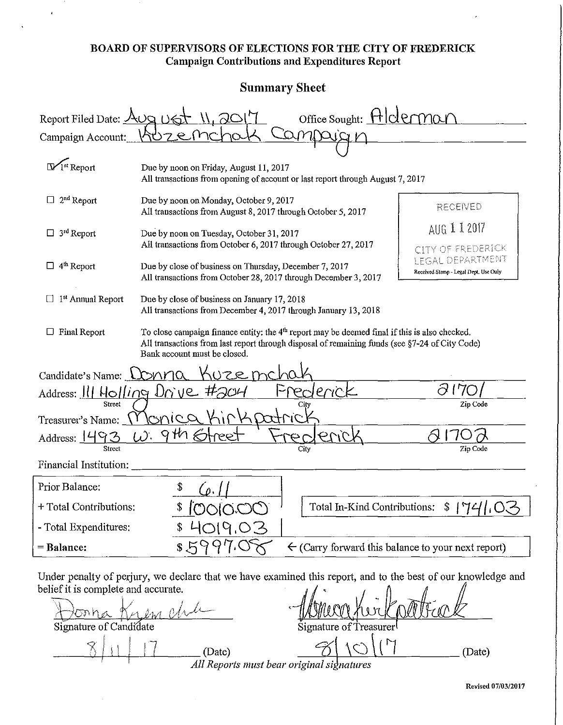#### BOARD OF SUPERVISORS OF ELECTIONS FOR THE CITY OF FREDERICK Campaign Contributions and Expenditures Report

 $\epsilon$ 

### Summary Sheet

| Office Sought: HICL<br>Report Filed Date: $\triangle$<br>Campaign Account: |                                                                                                                                                                                                                                   |                                                                                   |  |  |  |
|----------------------------------------------------------------------------|-----------------------------------------------------------------------------------------------------------------------------------------------------------------------------------------------------------------------------------|-----------------------------------------------------------------------------------|--|--|--|
| $\mathbb{W}$ <sup>st</sup> Report                                          | Due by noon on Friday, August 11, 2017<br>All transactions from opening of account or last report through August 7, 2017                                                                                                          |                                                                                   |  |  |  |
| $2nd$ Report<br>u<br>$\Box$ 3 <sup>rd</sup> Report                         | Due by noon on Monday, October 9, 2017<br>All transactions from August 8, 2017 through October 5, 2017<br>Due by noon on Tuesday, October 31, 2017                                                                                | RECENED<br>AUG 112017                                                             |  |  |  |
| 4 <sup>th</sup> Report<br>⊔                                                | All transactions from October 6, 2017 through October 27, 2017<br>Due by close of business on Thursday, December 7, 2017<br>All transactions from October 28, 2017 through December 3, 2017                                       | CITY OF FREDERICK<br>LEGAL DEPARTMENT<br>Received Stamp - Legal Dept. Use Only    |  |  |  |
| $\Box$ 1 <sup>st</sup> Annual Report                                       | Due by close of business on January 17, 2018<br>All transactions from December 4, 2017 through January 13, 2018                                                                                                                   |                                                                                   |  |  |  |
| Final Report                                                               | To close campaign finance entity: the $4th$ report may be deemed final if this is also checked.<br>All transactions from last report through disposal of remaining funds (see §7-24 of City Code)<br>Bank account must be closed. |                                                                                   |  |  |  |
| Candidate's Name: LONMQ<br>Street                                          | UZE mcl<br>ericl<br>Address: 111 Holling Drive #204<br>بمطر<br><b>Onic</b> c                                                                                                                                                      | 17<br>Zip Code                                                                    |  |  |  |
| Treasurer's Name:<br>Address: 1493<br>Street<br>Financial Institution:     | 9th &<br>$\omega$ .<br>ree<br>City                                                                                                                                                                                                | Zip Code                                                                          |  |  |  |
| Prior Balance:                                                             |                                                                                                                                                                                                                                   |                                                                                   |  |  |  |
| + Total Contributions:<br>- Total Expenditures:                            | MAIAM                                                                                                                                                                                                                             | Total In-Kind Contributions: $\int \int \frac{1}{4}$<br>$\mathsf{I}^{\mathsf{I}}$ |  |  |  |
| = Balance:                                                                 | $\leftarrow$ (Carry forward this balance to your next report)                                                                                                                                                                     |                                                                                   |  |  |  |
| belief it is complete and accurate.<br>onna<br>Signature of Candidate      | Under penalty of perjury, we declare that we have examined this report, and to the best of our knowledge and<br>Signature of Treasurer<br>(Date)<br>All Reports must bear original signatures                                     | (Date)                                                                            |  |  |  |

Revised 07/03/2017

,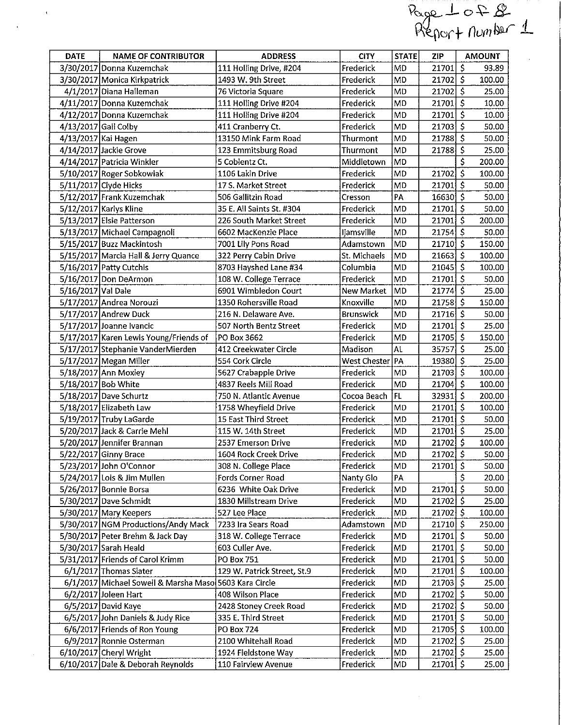|                                                        |                       |                             |                   |              |                              | Page 1 of 8<br>Report number 1 |
|--------------------------------------------------------|-----------------------|-----------------------------|-------------------|--------------|------------------------------|--------------------------------|
|                                                        |                       |                             |                   |              |                              |                                |
|                                                        |                       |                             |                   |              |                              |                                |
| <b>DATE</b><br><b>NAME OF CONTRIBUTOR</b>              |                       | <b>ADDRESS</b>              | <b>CITY</b>       | <b>STATE</b> | ZIP                          | <b>AMOUNT</b>                  |
| 3/30/2017 Donna Kuzemchak                              |                       | 111 Holling Drive, #204     | Frederick         | МD           | 21701                        | $\mathsf{S}$<br>93.89          |
| 3/30/2017 Monica Kirkpatrick                           | 1493 W. 9th Street    |                             | Frederick         | MD           | $21702$ S                    | 100.00                         |
| 4/1/2017 Diana Halleman                                | 76 Victoria Square    |                             | Frederick         | <b>MD</b>    | $21702$ \$                   | 25.00                          |
| 4/11/2017 Donna Kuzemchak                              |                       | 111 Holling Drive #204      | Frederick         | <b>MD</b>    | $21701$ \$                   | 10.00                          |
| 4/12/2017 Donna Kuzemchak                              |                       | 111 Holling Drive #204      | Frederick         | <b>MD</b>    | $21701$ \$                   | 10.00                          |
| 4/13/2017 Gail Colby                                   | 411 Cranberry Ct.     |                             | Frederick         | <b>MD</b>    | $21703\overline{5}$          | 50.00                          |
| 4/13/2017 Kai Hagen                                    |                       | 13150 Mink Farm Road        | Thurmont          | <b>MD</b>    | 21788 S                      | 50.00                          |
| 4/14/2017 Jackie Grove                                 |                       | 123 Emmitsburg Road         | Thurmont          | MD           | $21788$ \$                   | 25.00                          |
| 4/14/2017 Patricia Winkler                             | 5 Coblentz Ct.        |                             | Middletown        | MD           |                              | \$<br>200.00                   |
| 5/10/2017 Roger Sobkowiak                              | 1106 Lakin Drive      |                             | Frederick         | <b>MD</b>    | $21702$ \$                   | 100.00                         |
| 5/11/2017 Clyde Hicks                                  | 17 S. Market Street   |                             | Frederick         | <b>MD</b>    | $21701$ \$                   | 50.00                          |
| 5/12/2017 Frank Kuzemchak                              | 506 Gallitzin Road    |                             | Cresson           | PA           | $16630$ \$                   | 50.00                          |
| 5/12/2017 Karlys Kline                                 |                       | 35 E. All Saints St. #304   | Frederick         | MD           | $21701 \overline{\smash{5}}$ | 50.00                          |
| 5/13/2017 Elsie Patterson                              |                       | 226 South Market Street     | Frederick         | MD           | $21701 \overline{\smash{5}}$ | 200.00                         |
| 5/13/2017 Michael Campagnoli                           |                       | 6602 MacKenzie Place        | <b>Ijamsville</b> | <b>MD</b>    | $21754$ \$                   | 50.00                          |
| 5/15/2017 Buzz Mackintosh                              | 7001 Lily Pons Road   |                             | Adamstown         | MD           | $21710$ \$                   | 150.00                         |
| 5/15/2017 Marcia Hall & Jerry Quance                   | 322 Perry Cabin Drive |                             | St. Michaels      | MD           | $21663$ S                    | 100.00                         |
| 5/16/2017 Patty Cutchis                                |                       | 8703 Hayshed Lane #34       | Columbia          | <b>MD</b>    | $21045$ \$                   | 100.00                         |
| 5/16/2017 Don DeArmon                                  |                       | 108 W. College Terrace      | Frederick         | <b>MD</b>    | $21701$ S                    | 50.00                          |
| 5/16/2017 Val Dale                                     |                       | 6901 Wimbledon Court        | New Market        | MD           | 21774 \$                     | 25.00                          |
| 5/17/2017 Andrea Norouzi                               |                       | 1350 Rohersville Road       | Knoxville         | MD           | $21758$ $\overline{5}$       | 150.00                         |
| 5/17/2017 Andrew Duck                                  | 216 N. Delaware Ave.  |                             | <b>Brunswick</b>  | <b>MD</b>    | $21716$ \$                   | 50.00                          |
| 5/17/2017 Joanne Ivancic                               |                       | 507 North Bentz Street      | Frederick         | <b>MD</b>    | $21701$ \$                   | 25.00                          |
| 5/17/2017 Karen Lewis Young/Friends of                 | PO Box 3662           |                             | Frederick         | MD           | $21705$ \$                   | 150.00                         |
| 5/17/2017 Stephanie VanderMierden                      | 412 Creekwater Circle |                             | Madison           | AL           | 35757 S                      | 25.00                          |
| 5/17/2017 Megan Miller                                 | 554 Cork Circle       |                             | West Chester   PA |              | 19380 S                      | 25.00                          |
| 5/18/2017 Ann Moxley                                   | 5627 Crabapple Drive  |                             | Frederick         | MD           | $21703$ S                    | 100.00                         |
| 5/18/2017 Bob White                                    | 4837 Reels Mill Road  |                             | Frederick         | <b>MD</b>    | $21704$ \$                   | 100.00                         |
| 5/18/2017 Dave Schurtz                                 |                       | 750 N. Atlantic Avenue      | Cocoa Beach       | ∣FL          | $32931$ $S$                  | 200.00                         |
| 5/18/2017 Elizabeth Law                                | 1758 Wheyfield Drive  |                             | Frederick         | MD           | 217015                       | 100.00                         |
| 5/19/2017 Truby LaGarde                                | 15 East Third Street  |                             | Frederick         | MD           | $21701$ \$                   | 50.00                          |
| 5/20/2017 Jack & Carrie Mehl                           | 115 W. 14th Street    |                             | Frederick         | MD           | $21701$ \$                   | 25.00                          |
| 5/20/2017 Jennifer Brannan                             | 2537 Emerson Drive    |                             | Frederick         | MD           | $21702$ \$                   | 100.00                         |
| 5/22/2017 Ginny Brace                                  |                       | 1604 Rock Creek Drive       | Frederick         | MD           | $21702$ \$                   | 50.00                          |
| 5/23/2017 John O'Connor                                | 308 N. College Place  |                             | Frederick         | MD           | $21701$ \$                   | 50.00                          |
| 5/24/2017 Lois & Jim Mullen                            | Fords Corner Road     |                             | Nanty Glo         | PA           |                              | \$<br>20.00                    |
| 5/26/2017 Bonnie Borsa                                 |                       | 6236 White Oak Drive        | Frederick         | MD           | 21701 \$                     | 50.00                          |
| 5/30/2017 Dave Schmidt                                 |                       | 1830 Millstream Drive       | Frederick         | MD           | $21702$ \$                   | 25.00                          |
| 5/30/2017 Mary Keepers                                 | 527 Lee Place         |                             | Frederick         | MD           | $21702$ \$                   | 100.00                         |
| 5/30/2017 NGM Productions/Andy Mack                    | 7233 Ira Sears Road   |                             | Adamstown         | MD           | $21710$ \$                   | 250.00                         |
| 5/30/2017 Peter Brehm & Jack Day                       |                       | 318 W. College Terrace      | Frederick         | MD           | $21701$ \$                   | 50.00                          |
| 5/30/2017 Sarah Heald                                  | 603 Culler Ave.       |                             | Frederick         | MD           | $21701$ \$                   | 50.00                          |
| 5/31/2017 Friends of Carol Krimm                       | PO Box 751            |                             | Frederick         | MD           | $21701$ \$                   | 50.00                          |
| 6/1/2017 Thomas Slater                                 |                       | 129 W. Patrick Street, St.9 | Frederick         | MD           | $21701$ \$                   | 100.00                         |
| 6/1/2017 Michael Sowell & Marsha Maso 5603 Kara Circle |                       |                             | Frederick         | MD           | $21703$ \$                   | 25.00                          |
| 6/2/2017 Joleen Hart                                   | 408 Wilson Place      |                             | Frederick         | MD           | $21702$ \$                   | 50.00                          |
| 6/5/2017 David Kaye                                    |                       | 2428 Stoney Creek Road      | Frederick         | MD           | $21702$ \$                   | 50.00                          |
| 6/5/2017 John Daniels & Judy Rice                      | 335 E. Third Street   |                             | Frederick         | <b>MD</b>    | $21701$ \$                   | 50.00                          |
| 6/6/2017 Friends of Ron Young                          | PO Box 724            |                             | Frederick         | MD           | 21705 S                      | 100.00                         |
| 6/9/2017 Ronnie Osterman                               | 2100 Whitehall Road   |                             | Frederick         | MD           | $21702$ \$                   | 25.00                          |
| 6/10/2017 Cheryl Wright                                | 1924 Fieldstone Way   |                             | Frederick         | MD           | 21702 \$                     | 25.00                          |
| 6/10/2017 Dale & Deborah Reynolds                      | 110 Fairview Avenue   |                             | Frederick         | MD           | $21701$ \$                   | 25.00                          |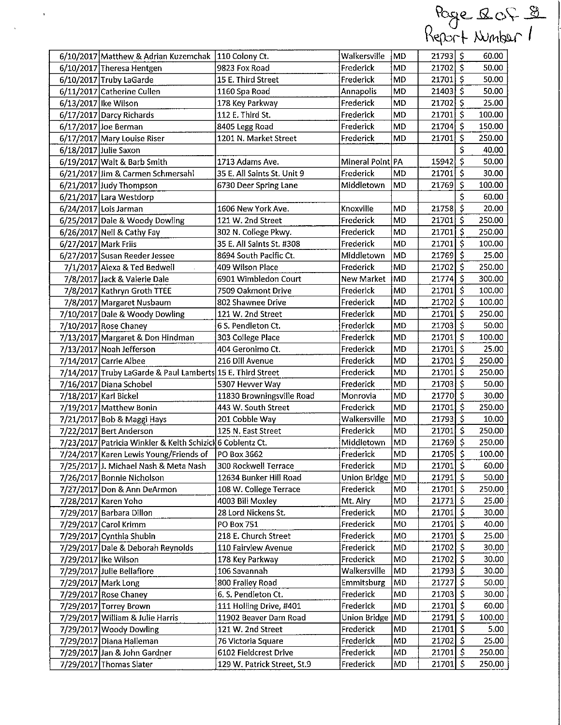|                                                            |                             |                  |                 |                                  |              | Keport Winber I |
|------------------------------------------------------------|-----------------------------|------------------|-----------------|----------------------------------|--------------|-----------------|
| 6/10/2017 Matthew & Adrian Kuzemchak   110 Colony Ct.      |                             | Walkersville     | <b>MD</b>       | $21793$ \$                       |              | 60.00           |
| 6/10/2017 Theresa Hentgen                                  | 9823 Fox Road               | Frederick        | <b>MD</b>       | $21702$ \$                       |              | 50.00           |
| 6/10/2017 Truby LaGarde                                    | 15 E. Third Street          | Frederick        | MD              | $21701$ \$                       |              | 50.00           |
| 6/11/2017 Catherine Cullen                                 | 1160 Spa Road               | Annapolis        | MD              | $21403$ \$                       |              | 50.00           |
| 6/13/2017 Ike Wilson                                       | 178 Key Parkway             | Frederick        | MD              | 21702 \$                         |              | 25.00           |
| 6/17/2017 Darcy Richards                                   | 112 E. Third St.            | Frederick        | MD              | 21701 \$                         |              | 100.00          |
| 6/17/2017 Joe Berman                                       | 8405 Legg Road              | Frederick        | MD              | 21704 S                          |              | 150.00          |
| 6/17/2017 Mary Louise Riser                                | 1201 N. Market Street       | Frederick        | MD              | 21701 S                          |              | 250.00          |
| 6/18/2017 Julie Saxon                                      |                             |                  |                 |                                  | \$           | 40.00           |
| 6/19/2017 Walt & Barb Smith                                | 1713 Adams Ave.             | Mineral Point PA |                 | $15942$ \$                       |              | 50.00           |
| 6/21/2017 Jim & Carmen Schmersahl                          | 35 E. All Saints St. Unit 9 | Frederick        | <b>MD</b>       | $21701$ \$                       |              | 30.00           |
| 6/21/2017 Judy Thompson                                    | 6730 Deer Spring Lane       | Middletown       | <b>MD</b>       | 21769                            | \$           | 100.00          |
| 6/21/2017 Lara Westdorp                                    |                             |                  |                 |                                  | $\mathsf{s}$ | 60.00           |
| 6/24/2017 Lois Jarman                                      | 1606 New York Ave.          | Knoxville        | <b>MD</b>       | $21758\sqrt{5}$                  |              | 20.00           |
| 6/25/2017 Dale & Woody Dowling                             | 121 W. 2nd Street           | Frederick        | <b>MD</b>       | $21701$ \$                       |              | 250.00          |
| 6/26/2017 Neil & Cathy Fay                                 | 302 N. College Pkwy.        | Frederick        | <b>MD</b>       | $21701$ \$                       |              | 250.00          |
| 6/27/2017 Mark Friis                                       | 35 E. All Saints St. #308   | Frederick        | MD              | $21701$ \$                       |              | 100.00          |
| 6/27/2017 Susan Reeder Jessee                              | 8694 South Pacific Ct.      | Middletown       | <b>MD</b>       | 21769 \$                         |              | 25.00           |
| 7/1/2017 Alexa & Ted Bedwell<br>$\mathcal{L}$              | 409 Wilson Place            | Frederick        | MD              | $21702$ \$                       |              | 250.00          |
| 7/8/2017 Jack & Valerie Dale                               | 6901 Wimbledon Court        | New Market       | MD              | $21774$ S                        |              | 300.00          |
| 7/8/2017 Kathryn Groth TTEE                                | 7509 Oakmont Drive          | Frederick        | MD              | $21701$ $\overline{\phantom{1}}$ |              | 100.00          |
| 7/8/2017 Margaret Nusbaum                                  | 802 Shawnee Drive           | Frederick        | <b>MD</b>       | $21702$ 5                        |              | 100.00          |
| 7/10/2017 Dale & Woody Dowling                             | 121 W. 2nd Street           | Frederick        | <b>MD</b>       | 217015                           |              | 250.00          |
| 7/10/2017 Rose Chaney                                      | 6 S. Pendleton Ct.          | Frederick        | MD              | $21703$ \$                       |              | 50.00           |
| 7/13/2017 Margaret & Don Hindman                           | 303 College Place           | Frederick        | <b>MD</b>       | $21701$ S                        |              | 100.00          |
| 7/13/2017 Noah Jefferson                                   | 404 Geronimo Ct.            | Frederick        | <b>MD</b>       | $21701$ \$                       |              | 25.00           |
| 7/14/2017 Carrie Albee                                     | 216 Dill Avenue             | Frederick        | MD              | $21701$ \$                       |              | 250.00          |
| 7/14/2017 Truby LaGarde & Paul Lamberts 15 E. Third Street |                             | Frederick        | <b>MD</b>       | $21701$ \$                       |              | 250.00          |
| 7/16/2017 Diana Schobel                                    | 5307 Hevver Way             | Frederick        | MD              | $21703$ $\frac{1}{5}$            |              | 50.00           |
| 7/18/2017 Karl Bickel                                      | 11830 Browningsville Road   | Monrovia         | <b>MD</b>       | 21770 S                          |              | 30.00           |
| 7/19/2017 Matthew Bonin                                    | 443 W. South Street         | Frederick        | <b>MD</b>       | $21701$ \$                       |              | 250.00          |
| 7/21/2017 Bob & Maggi Hays                                 | 201 Cobble Way              | Walkersville     | MD              | $21793$ \$                       |              | 10.00           |
| 7/22/2017 Bert Anderson                                    | 125 N. East Street          | Frederick        | MD              | $21701$ S                        |              | 250.00          |
| 7/23/2017 Patricia Winkler & Keith Schizick 6 Coblentz Ct. |                             | Middletown       | MD              | $21769$ \$                       |              | 250.00          |
| 7/24/2017 Karen Lewis Young/Friends of                     | PO Box 3662                 | Frederick        | MD              | $21705$ S                        |              | 100.00          |
| 7/25/2017 J. Michael Nash & Meta Nash                      | 300 Rockwell Terrace        | Frederick        | <b>MD</b>       | $21701$ \$                       |              | 60.00           |
| 7/26/2017 Bonnie Nicholson                                 | 12634 Bunker Hill Road      | Union Bridge     | MD              | $21791$ \$                       |              | 50.00           |
| 7/27/2017 Don & Ann DeArmon                                | 108 W. College Terrace      | Frederick        | MD              | $21701$ S                        |              | 250.00          |
| 7/28/2017 Karen Yoho                                       | 4003 Bill Moxley            | Mt. Airy         | <b>MD</b>       | $21771$ \$                       |              | 25.00           |
| 7/29/2017 Barbara Dillon                                   | 28 Lord Nickens St.         | Frederick        | MD              | $21701$ \$                       |              | 30.00           |
| 7/29/2017 Carol Krimm                                      | PO Box 751                  | Frederick        | MD              | $21701$ \$                       |              | 40.00           |
| 7/29/2017 Cynthia Shubin                                   | 218 E. Church Street        | Frederick        | MD              | $21701$ \$                       |              | 25.00           |
| 7/29/2017 Dale & Deborah Reynolds                          | 110 Fairview Avenue         | Frederick        | <b>MD</b>       | $21702$ S                        |              | 30.00           |
| 7/29/2017 Ike Wilson                                       | 178 Key Parkway             | Frederick        | <b>MD</b>       | $21702$ \$                       |              | 30.00           |
| 7/29/2017 Julie Bellafiore                                 | 106 Savannah                | Walkersville     | <b>MD</b>       | $21793$ \$                       |              | 30.00           |
| 7/29/2017 Mark Long                                        | 800 Frailey Road            | Emmitsburg       | MD              | 21727                            | $\mathsf{S}$ | 50.00           |
| 7/29/2017 Rose Chaney                                      | 6. S. Pendleton Ct.         | Frederick        | MD              | $21703$ \$                       |              | 30.00           |
|                                                            | 111 Holling Drive, #401     | Frederick        | MD              | $21701$ \$                       |              | 60.00           |
| 7/29/2017 Torrey Brown                                     | 11902 Beaver Dam Road       | Union Bridge     | MD              | 21791 \$                         |              | 100.00          |
| 7/29/2017 William & Julie Harris                           |                             | Frederick        |                 | $21701$ \$                       |              | 5.00            |
| 7/29/2017 Woody Dowling                                    | 121 W. 2nd Street           | Frederick        | MD<br><b>MD</b> | 21702                            | $\mathsf{S}$ | 25.00           |
| 7/29/2017 Diana Halleman                                   | 76 Victoria Square          |                  |                 | $21701$ \$                       |              |                 |
| 7/29/2017 Jan & John Gardner                               | 6102 Fieldcrest Drive       | Frederick        | MD              |                                  |              | 250.00          |
| 7/29/2017 Thomas Slater                                    | 129 W. Patrick Street, St.9 | Frederick        | MD              | $21701$ S                        |              | 250.00          |

 $\mathcal{A}^{\mathcal{A}}$ 

 $\sim$   $\lambda$ 

Page 205 g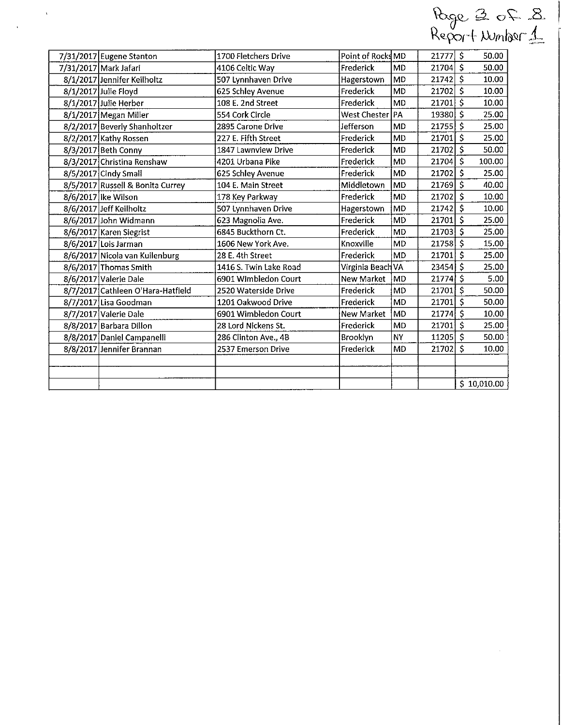|                  |    |                             | Report Number 1               | $B \propto \mathcal{C} \propto \mathcal{A}$ |
|------------------|----|-----------------------------|-------------------------------|---------------------------------------------|
| Point of RocksMD |    | $21777$ \$                  | 50.00                         |                                             |
| Frederick        | MD | 21704                       | 50.00                         |                                             |
| Hagerstown       | MD | 21742                       | 10.00                         |                                             |
| - -              | .  | $\sim$ $\sim$ $\sim$ $\sim$ | $\lambda$ $\lambda$ $\lambda$ |                                             |

 $\hat{\boldsymbol{\beta}}$ 

| 7/31/2017  Mark Jafari            | 4106 Celtic Way        | Frederick         | IMD       | 217041 S       |              | 50.00       |
|-----------------------------------|------------------------|-------------------|-----------|----------------|--------------|-------------|
| 8/1/2017 Jennifer Keilholtz       | 507 Lynnhaven Drive    | Hagerstown        | MD.       | 21742          | S            | 10.00       |
| 8/1/2017 Julie Floyd              | 625 Schley Avenue      | Frederick         | MD.       | 21702          | $\mathsf{S}$ | 10.00       |
| 8/1/2017 Julie Herber             | 108 E. 2nd Street      | Frederick         | MD        | 21701          | $\mathsf{S}$ | 10.00       |
| 8/1/2017 Megan Miller             | 554 Cork Circle        | West Chester   PA |           | 19380          | $\mathsf{S}$ | 25.00       |
| 8/2/2017 Beverly Shanholtzer      | 2895 Carone Drive      | Jefferson         | MD        | 21755          | $\mathsf{S}$ | 25.00       |
| 8/2/2017 Kathy Rossen             | 227 E. Fifth Street    | Frederick         | MD        | 21701          | S            | 25.00       |
| 8/3/2017 Beth Conny               | 1847 Lawnview Drive    | Frederick         | MD        | 21702          | $\mathsf{S}$ | 50.00       |
| 8/3/2017 Christina Renshaw        | 4201 Urbana Pike       | Frederick         | MD        | $21704$ \$     |              | 100.00      |
| 8/5/2017 Cindy Small              | 625 Schley Avenue      | Frederick         | MD.       | 21702          | <sub>S</sub> | 25.00       |
| 8/5/2017 Russell & Bonita Currey  | 104 E. Main Street     | Middletown        | MD        | 21769          | $\mathsf{S}$ | 40.00       |
| 8/6/2017 lke Wilson               | 178 Key Parkway        | Frederick         | MD        | 21702          | $\mathsf{S}$ | 10.00       |
| 8/6/2017 Jeff Keilholtz           | 507 Lynnhaven Drive    | Hagerstown        | MD)       | 21742          | $\mathsf{S}$ | 10.00       |
| 8/6/2017 John Widmann             | 623 Magnolia Ave.      | Frederick         | MD        | 21701          | $\mathsf{S}$ | 25.00       |
| 8/6/2017 Karen Siegrist           | 6845 Buckthorn Ct.     | Frederick         | MD        | $21703$ \$     |              | 25.00       |
| 8/6/2017 Lois Jarman              | 1606 New York Ave.     | Knoxville         | MD        | 21758          | $\mathsf{S}$ | 15.00       |
| 8/6/2017 Nicola van Kuilenburg    | 28 E. 4th Street       | Frederick         | MD        | 21701          | Ś            | 25.00       |
| 8/6/2017 Thomas Smith             | 1416 S. Twin Lake Road | Virginia Beach VA |           | $23454$ \$     |              | 25.00       |
| 8/6/2017 Valerie Dale             | 6901 Wimbledon Court   | New Market        | MD)       | 21774          | $\mathsf{S}$ | 5.00        |
| 8/7/2017 Cathleen O'Hara-Hatfield | 2520 Waterside Drive   | Frederick         | MD        | $21701$ \$     |              | 50.00       |
| 8/7/2017 Lisa Goodman             | 1201 Oakwood Drive     | Frederick         | MD        | $21701 \mid 5$ |              | 50.00       |
| 8/7/2017 Valerie Dale             | 6901 Wimbledon Court   | New Market        | lMD.      | 21774 S        |              | 10.00       |
| 8/8/2017 Barbara Dillon           | 28 Lord Nickens St.    | Frederick         | lMD.      | 21701          | -S           | 25.00       |
| 8/8/2017 Daniel Campanelli        | 286 Clinton Ave., 4B   | Brooklyn          | NY)       | 11205          | $\mathsf{s}$ | 50.00       |
| 8/8/2017 Jennifer Brannan         | 2537 Emerson Drive     | Frederick         | <b>MD</b> | 21702          | Ś            | 10.00       |
|                                   |                        |                   |           |                |              |             |
|                                   |                        |                   |           |                |              |             |
|                                   |                        |                   |           |                |              | \$10,010.00 |

7/31/2017 Eugene Stanton 1700 Fletchers Drive

 $\mathbf{r}$ 

 $\ddot{\phantom{1}}$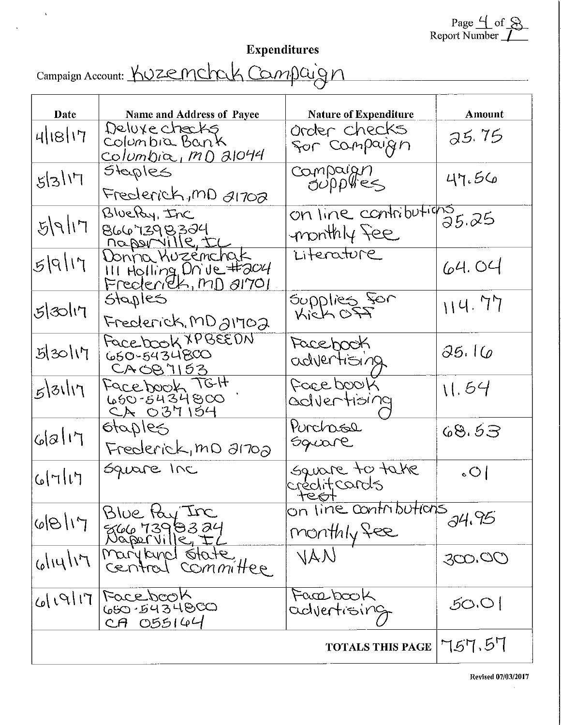Page 4 of 8<br>Report Number

### Expenditures

Campaign Account: KUZEMChak Campaign

 $\hat{\mathbf{v}}$ 

 $\ddot{\phantom{1}}$ 

| Date                 | <b>Name and Address of Payee</b>                                         | <b>Nature of Expenditure</b>         | <b>Amount</b> |
|----------------------|--------------------------------------------------------------------------|--------------------------------------|---------------|
| 4/18/17              | Deluxe checks<br>Columbia Bank<br><u>Columbia, MD 21044</u>              | order checks<br>for Campaign         | 35.75         |
| 5 3 17               | Steples<br>Frederick, mD 21702                                           | Compaign<br>Supplies                 | 47.56         |
| F  P Z               | BlueRy, Inc<br>8667398324<br><u>Maporville, IL</u>                       | on line contributions<br>monthly fee |               |
| 5 9 17               | Wonna Kuzemchak<br>III Holling, Drive #204<br><u>Frederick, MD al701</u> | Literature                           | 64.04         |
| 5 30 17              | Staples<br>Frederick, MD almoa                                           | Supplies For                         | 114.77        |
| 5/30/17              | Facebook XPBEEDN<br>650-5434800<br><u>CAOB7153</u>                       | Facebook<br>advertising              | 35.16         |
| 5 31 17              | Facebook TGH<br>650-5434800<br><u>CA 037154</u>                          | Force book<br>advertioing            | 11.54         |
| 6 2 17               | otaples<br>Frederick, mD 21702                                           | Purchasse<br>Square                  | 68.53         |
| G[7 1]               | Square Inc                                                               | Square to take<br>creditcards        | $\circ$       |
| $\Gamma$ // $\Theta$ | Blue tay Inc<br>866 7398324<br>Naporville, IL                            | on line contributions<br>monthly fee | 34.95         |
| 111416               | maryland state,<br>committee<br>CEUTION                                  | VAN                                  | 300.00        |
| T11P1Q               | Facebook<br>660.5434860<br>CA 055144                                     | Facebook<br>advertising              | 50.0          |
|                      |                                                                          | <b>TOTALS THIS PAGE</b>              | 757.57        |

 $\bar{r}$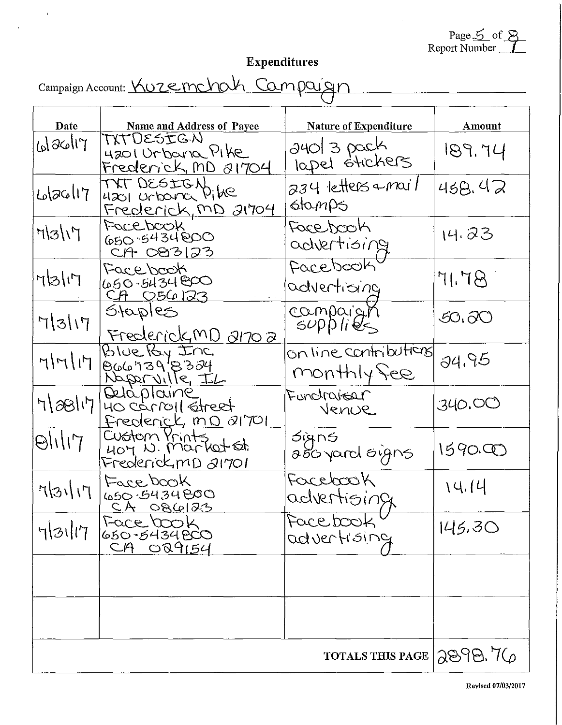Page <u>S</u> of <u>S</u><br>Report Number

 $\overline{\phantom{a}}$ 

# Expenditures

| Campaign Account: Kuzemchah Campaign |  |  |
|--------------------------------------|--|--|
|                                      |  |  |

 $\hat{\mathcal{A}}$ 

 $\mathcal{A}$ 

| Date    | Name and Address of Payee                                                              | Nature of Expenditure                | Amount    |
|---------|----------------------------------------------------------------------------------------|--------------------------------------|-----------|
| Glachiy | TXTDESTGN<br>4201 Urbana Pike<br>Frederick, MD 81704                                   | ayol 3 pack<br>lapel stickers        | 189.74    |
| 6/26/17 | TXT DESIGN<br>4201 Urboria Pike<br><u>Frederick, MD 21704</u>                          | $234$ letters $\sim$ mail<br>stamps  | 458.42    |
| 7/5/17  | Facebook<br>650.5434000<br>$CH$ $O23123$                                               | Facebook<br>advertising              | 14.23     |
| 71517   | Facebook<br>450-5434800<br><u>CA 056123</u>                                            | Facebook<br>advertising              | STJ       |
| 71317   | Staples<br>Frederick, MD 21702                                                         | compaign<br>supplies                 | 50. TO    |
| 717717  | Blue By Inc<br>866739'8384<br>Naparville IL                                            | on line contributions<br>monthly fee | 34.95     |
| 7817    | Quaplaine<br>$H$ $\in$ $C$ $\infty$ $\infty$ $\infty$ $\infty$<br>Frederick, min altol | Functraiger<br>Venue                 | 340.OO    |
| Q       | Custom Prints<br>407 N. Marketst.<br>Frederick, <u>mD 21701</u>                        | <i>ói</i> gns<br>aboyard signs       | 1590.QO   |
| 71/15/7 | Facebook<br>650-5434800<br><u>CA 086123</u>                                            | Facebook<br>advertioing              | 14.14     |
| 73117   | Face book<br>650-8434800<br>CA 029154                                                  | Facebook                             | 145,30    |
|         |                                                                                        |                                      |           |
|         |                                                                                        |                                      |           |
|         |                                                                                        | <b>TOTALS THIS PAGE</b>              | [2898.76] |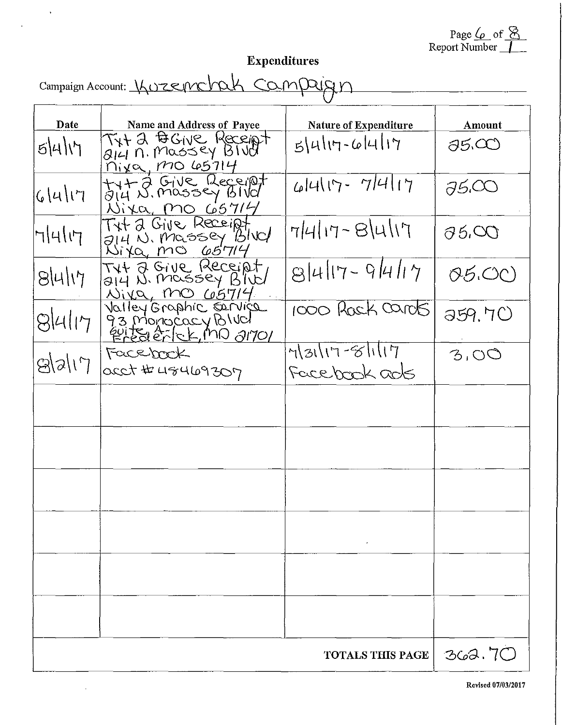Page  $\sqrt{\varphi}$  of  $\frac{\otimes}{\varphi}$ Report Number

<u> 1980 - Jan Barnett, fransk politik (d. 1980)</u>

# Expenditures

Campaign Account: *\borsemchak campaign* 

 $\hat{\mathbf{v}}$ 

 $\blacksquare$ 

l,

| Date        | Name and Address of Payee                                             | Nature of Expenditure          | Amount          |
|-------------|-----------------------------------------------------------------------|--------------------------------|-----------------|
| 5411        | Tyt 2 BGIVE Receipt<br>mixa, mo65714                                  | $5 4 17 - 6 4 17$              | 35.CO           |
| 6 4 17      | tyt 2 Give Receipt<br>Wixa, MO 65714                                  | 44117-7417                     | 75.CO           |
| 7414        | TXT 2 Give Receipt<br>214 N. Massey BIVC/<br>Wita, mo 65714           | $7 4 17 - 8 4 17$              | $\partial$ 5.00 |
| 8 4 17      | THE 2 GIVE Receipt<br><u>Niva, MO 65714</u>                           | $8 4 17 - 9 4 17$              | 05.00           |
| $8$ klı $7$ | Valley Graphic Cervice<br>d's Dipunciach Bina<br>évite à lek mo 21701 | 1000 Rack cards                | 359.70          |
| 8 2 17      | Facebook<br>0000 # 48469307                                           | $43117 - 8117$<br>Facebook ads | 3,00            |
|             |                                                                       |                                |                 |
|             |                                                                       |                                |                 |
|             |                                                                       |                                |                 |
|             |                                                                       |                                |                 |
|             |                                                                       |                                |                 |
|             |                                                                       |                                |                 |
|             |                                                                       | <b>TOTALS THIS PAGE</b>        | 362.70          |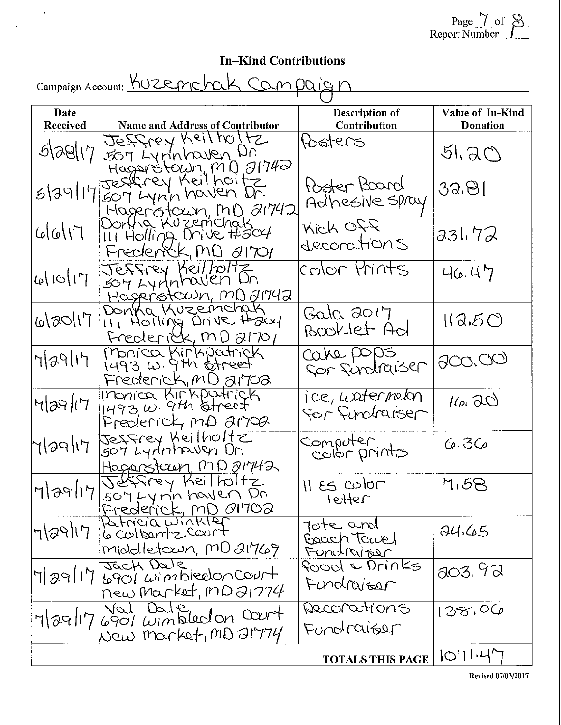Page  $\frac{1}{2}$  of  $\frac{8}{2}$ Report Number \_<u>\_1 \_\_</u>\_

## In-Kind Contributions

| Campaign Account: KUZEnchak Campaign |                                                                                      |                                       |                                     |  |  |
|--------------------------------------|--------------------------------------------------------------------------------------|---------------------------------------|-------------------------------------|--|--|
| Date<br><b>Received</b>              | Name and Address of Contributor                                                      | Description of<br>Contribution        | Value of In-Kind<br><b>Donation</b> |  |  |
| 5 38 17                              | Jeffrey Keilholtz<br>507 Lynnhaven Dr.<br><u>Hagarótown, MD</u> 31742                | Peters                                | 51,50                               |  |  |
| 5 39 17                              | Jestrey Keilholtz<br>SOT Lynn haven Dr.<br><u>Magerotown, MD</u> 21742               | Poster Board<br>Adhesive spray        | 32.81                               |  |  |
| 11/000                               | Donna Kuzemchak<br>III Holling Drive #2004<br>Frederick, MD 81701                    | Kich Off<br>deconations               | 331.72                              |  |  |
| 46110117                             | Jeffrey Keil/Oltz<br>Soy Lynnhaven Dr.<br>Hagerotown, MD 21742                       | Color Prints                          | 46.47                               |  |  |
| 51/000/0                             | DONKa Kuzemchak<br>III HOTHING Drive Haal<br>Frederick, MD 21701                     | Gala 2017<br>Booklet Ad               | 113.50                              |  |  |
| 7/29/17                              | Monica Kirkpatrick<br>$1493$ $\omega$ . 9th otheet<br>Frederick, MD a170a            | cahe pops<br>Sor fundraiser           | 900,00                              |  |  |
| $H p\Theta l\tau$                    | Monica Kirkpatrick<br>$1493 \omega$ . 9th offreet<br>Frederick, MD a1702             | ice, watermelon<br>For Fundraiser     | 16.00                               |  |  |
| Magli7                               | Jessrey Keilholtz<br>šori Lydnhowen Dr.<br>Hagarstaun, MD 21742                      | computer<br>color prints              | 6.36                                |  |  |
|                                      | Mag/17/2074477 Keilboltz                                                             | $H \text{es color}$<br>letter         | 4.58                                |  |  |
| 7/29/17                              | Frederick, MD 01702<br>Patricia winkler<br>6 colloentz court<br>middletown, MD 21769 | Tote and<br>Boach Towel<br>Functriber | 94.65                               |  |  |
| $ T $ a9/17                          | Jack Dale<br>6901 wimbledon court<br>new Market, MD 21774                            | food & Drinks<br>Fundraiser           | 303.92                              |  |  |
|                                      | 7/29/17/6901 Windledon court<br>New Market, MD 21774                                 | Reconations<br>Fundraiger             | 138,06                              |  |  |
|                                      |                                                                                      | <b>TOTALS THIS PAGE</b>               | 1071.47                             |  |  |

Revised 07/03/2017